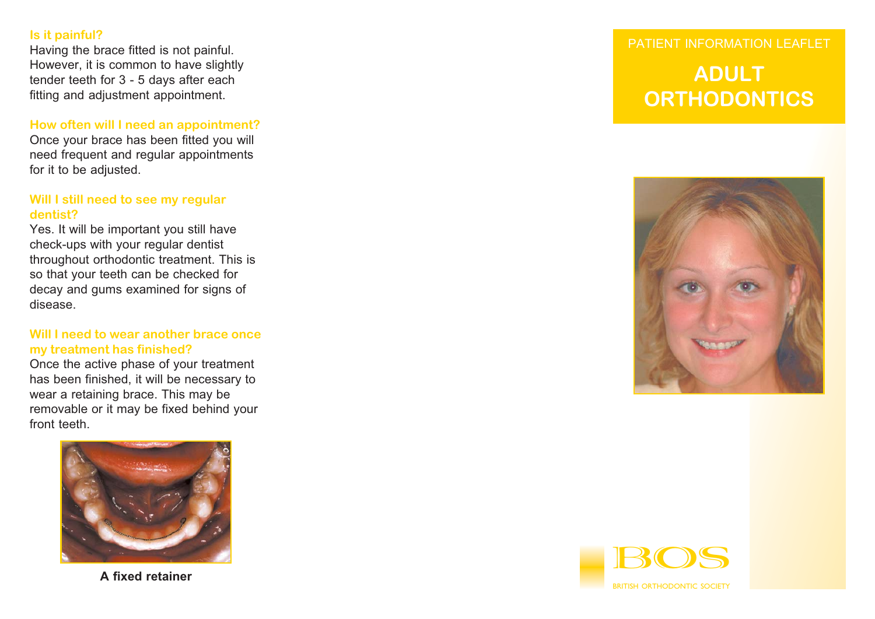**Is it painful?** Having the brace fitted is not painful. However, it is common to have slightly tender teeth for 3 - 5 days after each fitting and adjustment appointment.

#### **How often will I need an appointment?**

Once your brace has been fitted you will need frequent and regular appointments for it to be adjusted.

#### **Will I still need to see my regular dentist?**

Yes. It will be important you still have check-ups with your regular dentist throughout orthodontic treatment. This is so that your teeth can be checked for decay and gums examined for signs of disease.

#### **Will I need to wear another brace oncemy treatment has finished?**

Once the active phase of your treatment has been finished, it will be necessary to wear a retaining brace. This may be removable or it may be fixed behind your front teeth.



**A fixed retainer**

# PATIENT INFORMATION LEAFLET

# **ADULTORTHODONTICS**